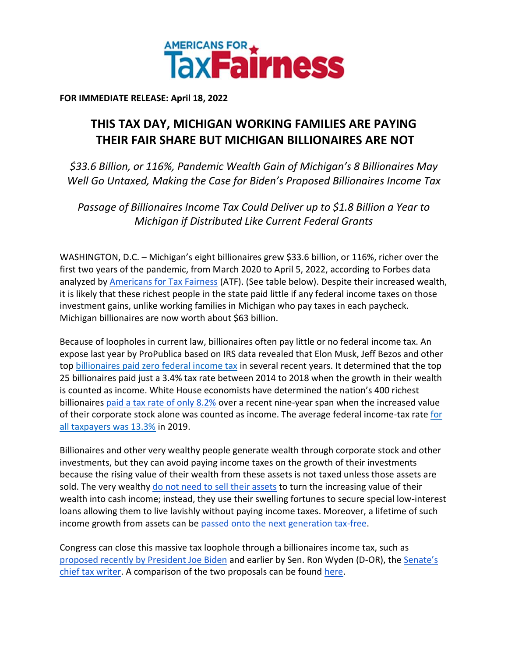

**FOR IMMEDIATE RELEASE: April 18, 2022**

## **THIS TAX DAY, MICHIGAN WORKING FAMILIES ARE PAYING THEIR FAIR SHARE BUT MICHIGAN BILLIONAIRES ARE NOT**

*\$33.6 Billion, or 116%, Pandemic Wealth Gain of Michigan's 8 Billionaires May Well Go Untaxed, Making the Case for Biden's Proposed Billionaires Income Tax*

*Passage of Billionaires Income Tax Could Deliver up to \$1.8 Billion a Year to Michigan if Distributed Like Current Federal Grants*

WASHINGTON, D.C. – Michigan's eight billionaires grew \$33.6 billion, or 116%, richer over the first two years of the pandemic, from March 2020 to April 5, 2022, according to Forbes data analyzed by [Americans for Tax Fairness](https://americansfortaxfairness.org/) (ATF). (See table below). Despite their increased wealth, it is likely that these richest people in the state paid little if any federal income taxes on those investment gains, unlike working families in Michigan who pay taxes in each paycheck. Michigan billionaires are now worth about \$63 billion.

Because of loopholes in current law, billionaires often pay little or no federal income tax. An expose last year by ProPublica based on IRS data revealed that Elon Musk, Jeff Bezos and other to[p](https://americansfortaxfairness.org/wp-content/uploads/ProPublica-Billionaires-Fact-Sheet-Updated.pdf) [billionaires paid zero federal income tax](https://americansfortaxfairness.org/wp-content/uploads/ProPublica-Billionaires-Fact-Sheet-Updated.pdf) in several recent years. It determined that the top 25 billionaires paid just a 3.4% tax rate between 2014 to 2018 when the growth in their wealth is counted as income. White House economists have determined the nation's 400 richest billionaire[s](https://www.whitehouse.gov/cea/written-materials/2021/09/23/what-is-the-average-federal-individual-income-tax-rate-on-the-wealthiest-americans/) [paid a tax rate of only 8.2%](https://www.whitehouse.gov/cea/written-materials/2021/09/23/what-is-the-average-federal-individual-income-tax-rate-on-the-wealthiest-americans/) over a recent nine-year span when the increased value of their corporate stock alone was counted as income. The average federal income-tax rat[e](https://taxfoundation.org/summary-latest-federal-income-tax-data-2022-update/) [for](https://taxfoundation.org/summary-latest-federal-income-tax-data-2022-update/)  [all taxpayers was 13.3%](https://taxfoundation.org/summary-latest-federal-income-tax-data-2022-update/) in 2019.

Billionaires and other very wealthy people generate wealth through corporate stock and other investments, but they can avoid paying income taxes on the growth of their investments because the rising value of their wealth from these assets is not taxed unless those assets are sold. The ver[y](https://www.wsj.com/articles/buy-borrow-die-how-rich-americans-live-off-their-paper-wealth-11625909583) wealthy do not need to [sell their assets](https://www.wsj.com/articles/buy-borrow-die-how-rich-americans-live-off-their-paper-wealth-11625909583) to turn the increasing value of their wealth into cash income; instead, they use their swelling fortunes to secure special low-interest loans allowing them to live lavishly without paying income taxes. Moreover, a lifetime of such income growth from assets can b[e](https://americansfortaxfairness.org/issue/stop-protecting-billionaires-close-stepped-basis-loophole/) [passed onto the next generation tax-free.](https://americansfortaxfairness.org/issue/stop-protecting-billionaires-close-stepped-basis-loophole/)

Congress can close this massive tax loophole through a billionaires income tax, such a[s](https://www.nytimes.com/2022/03/28/us/politics/biden-billionaire-tax.html) [proposed recently by President Joe Biden](https://www.nytimes.com/2022/03/28/us/politics/biden-billionaire-tax.html) and earlier by Sen. Ron Wyden (D-OR), th[e](https://www.finance.senate.gov/chairmans-news/wyden-unveils-billionaires-income-tax) [Senate's](https://www.finance.senate.gov/chairmans-news/wyden-unveils-billionaires-income-tax)  [chief tax writer.](https://www.finance.senate.gov/chairmans-news/wyden-unveils-billionaires-income-tax) A comparison of the two proposals can be foun[d](https://docs.google.com/document/d/1VdQTBEMGB2dHRGIt823stOBmIdul86-N7fYAQWxp-wU/edit?usp=sharing) [here.](https://americansfortaxfairness.org/issue/comparison-biden-wyden-billionaires-income-tax-proposals-short/)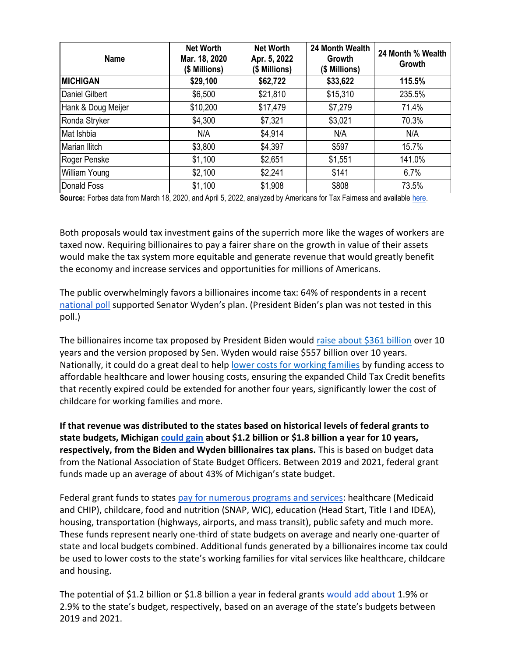| <b>Name</b>           | <b>Net Worth</b><br>Mar. 18, 2020<br>(\$ Millions) | <b>Net Worth</b><br>Apr. 5, 2022<br>(\$ Millions) | 24 Month Wealth<br>Growth<br>(\$ Millions) | 24 Month % Wealth<br>Growth |
|-----------------------|----------------------------------------------------|---------------------------------------------------|--------------------------------------------|-----------------------------|
| <b>MICHIGAN</b>       | \$29,100                                           | \$62,722                                          | \$33,622                                   | 115.5%                      |
| <b>Daniel Gilbert</b> | \$6,500                                            | \$21,810                                          | \$15,310                                   | 235.5%                      |
| Hank & Doug Meijer    | \$10,200                                           | \$17,479                                          | \$7,279                                    | 71.4%                       |
| Ronda Stryker         | \$4,300                                            | \$7,321                                           | \$3,021                                    | 70.3%                       |
| Mat Ishbia            | N/A                                                | \$4,914                                           | N/A                                        | N/A                         |
| <b>Marian Ilitch</b>  | \$3,800                                            | \$4,397                                           | \$597                                      | 15.7%                       |
| Roger Penske          | \$1,100                                            | \$2,651                                           | \$1,551                                    | 141.0%                      |
| <b>William Young</b>  | \$2,100                                            | \$2,241                                           | \$141                                      | 6.7%                        |
| Donald Foss           | \$1,100                                            | \$1,908                                           | \$808                                      | 73.5%                       |

**Source:** Forbes data from March 18, 2020, and April 5, 2022, analyzed by Americans for Tax Fairness and available [here.](https://docs.google.com/spreadsheets/d/1MksOhwmIojtZihAmPcfcYeaGoG3FOFZmiKUza1dIRD4/edit?usp=sharing)

Both proposals would tax investment gains of the superrich more like the wages of workers are taxed now. Requiring billionaires to pay a fairer share on the growth in value of their assets would make the tax system more equitable and generate revenue that would greatly benefit the economy and increase services and opportunities for millions of Americans.

The public overwhelmingly favors a billionaires income tax: 64% of respondents in a recen[t](https://docs.google.com/document/d/1AhWvucOLV2qY6izLkZvHpPig6DDmdFaCbmeM-5E65Xw/edit) [national poll](https://docs.google.com/document/d/1AhWvucOLV2qY6izLkZvHpPig6DDmdFaCbmeM-5E65Xw/edit) supported Senator Wyden's plan. (President Biden's plan was not tested in this poll.)

The billionaires income tax proposed by President Biden would [raise about \\$361 billion](https://americansfortaxfairness.org/issue/comparison-biden-wyden-billionaires-income-tax-proposals-short/) over 10 years and the version proposed by Sen. Wyden would raise \$557 billion over 10 years. Nationally, it could do a great deal to hel[p](https://americansfortaxfairness.org/issue/6-ways-spend-revenue-billionaires-income-tax/) [lower costs for working families](https://americansfortaxfairness.org/issue/6-ways-spend-revenue-billionaires-income-tax/) by funding access to affordable healthcare and lower housing costs, ensuring the expanded Child Tax Credit benefits that recently expired could be extended for another four years, significantly lower the cost of childcare for working families and more.

**If that revenue was distributed to the states based on historical levels of federal grants to state budgets, Michiga[n](https://docs.google.com/spreadsheets/d/1uMGQ0_Ow8ssIrktfYIvIQZwB44zOHf82ILpvh5kzWUI/edit?usp=sharing) [could gain](https://docs.google.com/spreadsheets/d/1uMGQ0_Ow8ssIrktfYIvIQZwB44zOHf82ILpvh5kzWUI/edit?usp=sharing) about \$1.2 billion or \$1.8 billion a year for 10 years, respectively, from the Biden and Wyden billionaires tax plans.** This is based on budget data from the National Association of State Budget Officers. Between 2019 and 2021, federal grant funds made up an average of about 43% of Michigan's state budget.

Federal grant funds to states [pay for numerous programs and services:](https://www.cbpp.org/research/state-budget-and-tax/federal-aid-to-state-and-local-governments) healthcare (Medicaid and CHIP), childcare, food and nutrition (SNAP, WIC), education (Head Start, Title I and IDEA), housing, transportation (highways, airports, and mass transit), public safety and much more. These funds represent nearly one-third of state budgets on average and nearly one-quarter of state and local budgets combined. Additional funds generated by a billionaires income tax could be used to lower costs to the state's working families for vital services like healthcare, childcare and housing.

The potential of \$1.2 billion or \$1.8 billion a year in federal grant[s](https://docs.google.com/spreadsheets/d/1uMGQ0_Ow8ssIrktfYIvIQZwB44zOHf82ILpvh5kzWUI/edit?usp=sharing) [would add about](https://docs.google.com/spreadsheets/d/1uMGQ0_Ow8ssIrktfYIvIQZwB44zOHf82ILpvh5kzWUI/edit?usp=sharing) 1.9% or 2.9% to the state's budget, respectively, based on an average of the state's budgets between 2019 and 2021.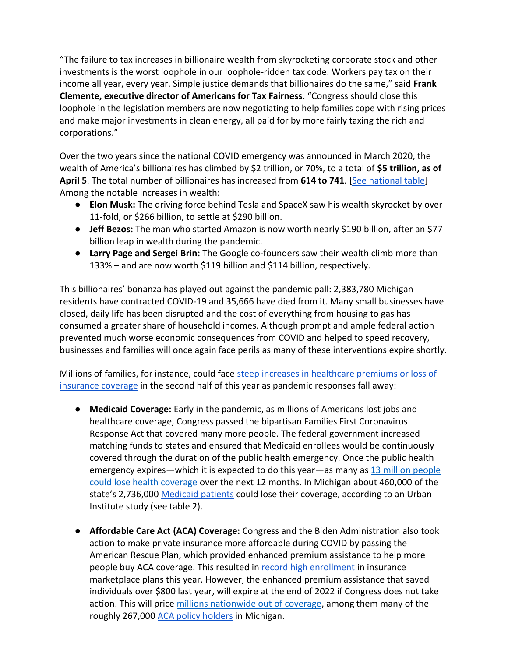"The failure to tax increases in billionaire wealth from skyrocketing corporate stock and other investments is the worst loophole in our loophole-ridden tax code. Workers pay tax on their income all year, every year. Simple justice demands that billionaires do the same," said **Frank Clemente, executive director of Americans for Tax Fairness**. "Congress should close this loophole in the legislation members are now negotiating to help families cope with rising prices and make major investments in clean energy, all paid for by more fairly taxing the rich and corporations."

Over the two years since the national COVID emergency was announced in March 2020, the wealth of America's billionaires has climbed by \$2 trillion, or 70%, to a total of **\$5 trillion, as of April 5**. The total number of billionaires has increased from **614 to 741**. [\[See national table\]](https://docs.google.com/spreadsheets/d/1MksOhwmIojtZihAmPcfcYeaGoG3FOFZmiKUza1dIRD4/edit?usp=sharing) Among the notable increases in wealth:

- **Elon Musk:** The driving force behind Tesla and SpaceX saw his wealth skyrocket by over 11-fold, or \$266 billion, to settle at \$290 billion.
- **Jeff Bezos:** The man who started Amazon is now worth nearly \$190 billion, after an \$77 billion leap in wealth during the pandemic.
- **Larry Page and Sergei Brin:** The Google co-founders saw their wealth climb more than 133% – and are now worth \$119 billion and \$114 billion, respectively.

This billionaires' bonanza has played out against the pandemic pall: 2,383,780 Michigan residents have contracted COVID-19 and 35,666 have died from it. Many small businesses have closed, daily life has been disrupted and the cost of everything from housing to gas has consumed a greater share of household incomes. Although prompt and ample federal action prevented much worse economic consequences from COVID and helped to speed recovery, businesses and families will once again face perils as many of these interventions expire shortly.

Millions of families, for instance, could face [steep increases in healthcare premiums or loss of](https://www.nytimes.com/2022/04/04/opinion/covid-medicaid-loss.html)  [insurance coverage](https://www.nytimes.com/2022/04/04/opinion/covid-medicaid-loss.html) in the second half of this year as pandemic responses fall away:

- **Medicaid Coverage:** Early in the pandemic, as millions of Americans lost jobs and healthcare coverage, Congress passed the bipartisan Families First Coronavirus Response Act that covered many more people. The federal government increased matching funds to states and ensured that Medicaid enrollees would be continuously covered through the duration of the public health emergency. Once the public health emergency expires—which it is expected to do this year—as many a[s](https://www.urban.org/sites/default/files/2022-03/what-will-happen-to-medicaid-enrollees-health-coverage-after-the-public-health-emergency_1_1.pdf) [13 million people](https://www.urban.org/sites/default/files/2022-03/what-will-happen-to-medicaid-enrollees-health-coverage-after-the-public-health-emergency_1_1.pdf)  [could lose health coverage](https://www.urban.org/sites/default/files/2022-03/what-will-happen-to-medicaid-enrollees-health-coverage-after-the-public-health-emergency_1_1.pdf) over the next 12 months. In Michigan about 460,000 of the state's 2,736,00[0](https://www.medicaid.gov/medicaid/program-information/medicaid-and-chip-enrollment-data/report-highlights/index.html) [Medicaid patients](https://www.medicaid.gov/medicaid/program-information/medicaid-and-chip-enrollment-data/report-highlights/index.html) could lose their coverage, according to an Urban Institute study (see table 2).
- **Affordable Care Act (ACA) Coverage:** Congress and the Biden Administration also took action to make private insurance more affordable during COVID by passing the American Rescue Plan, which provided enhanced premium assistance to help more people buy ACA coverage. This resulted i[n](https://www.whitehouse.gov/briefing-room/statements-releases/2022/03/10/during-week-of-anniversary-of-american-rescue-plan-biden-harris-administration-highlights-health-insurance-subsidies-that-promoted-critical-increases-in-enrollment-and-cost-savings/) [record high enrollment](https://www.whitehouse.gov/briefing-room/statements-releases/2022/03/10/during-week-of-anniversary-of-american-rescue-plan-biden-harris-administration-highlights-health-insurance-subsidies-that-promoted-critical-increases-in-enrollment-and-cost-savings/) in insurance marketplace plans this year. However, the enhanced premium assistance that saved individuals over \$800 last year, will expire at the end of 2022 if Congress does not take action. This will pric[e](https://tcf.org/content/commentary/american-rescue-plans-premium-assistance-must-made-permanent/?agreed=1) [millions nationwide out of coverage,](https://tcf.org/content/commentary/american-rescue-plans-premium-assistance-must-made-permanent/?agreed=1) among them many of the roughly 267,[0](https://www.kff.org/health-reform/state-indicator/marketplace-enrollment/?currentTimeframe=0&sortModel=%7B%22colId%22:%22Location%22,%22sort%22:%22asc%22%7D)00 [ACA policy holders](https://www.kff.org/health-reform/state-indicator/marketplace-enrollment/?currentTimeframe=0&sortModel=%7B%22colId%22:%22Location%22,%22sort%22:%22asc%22%7D) in Michigan.